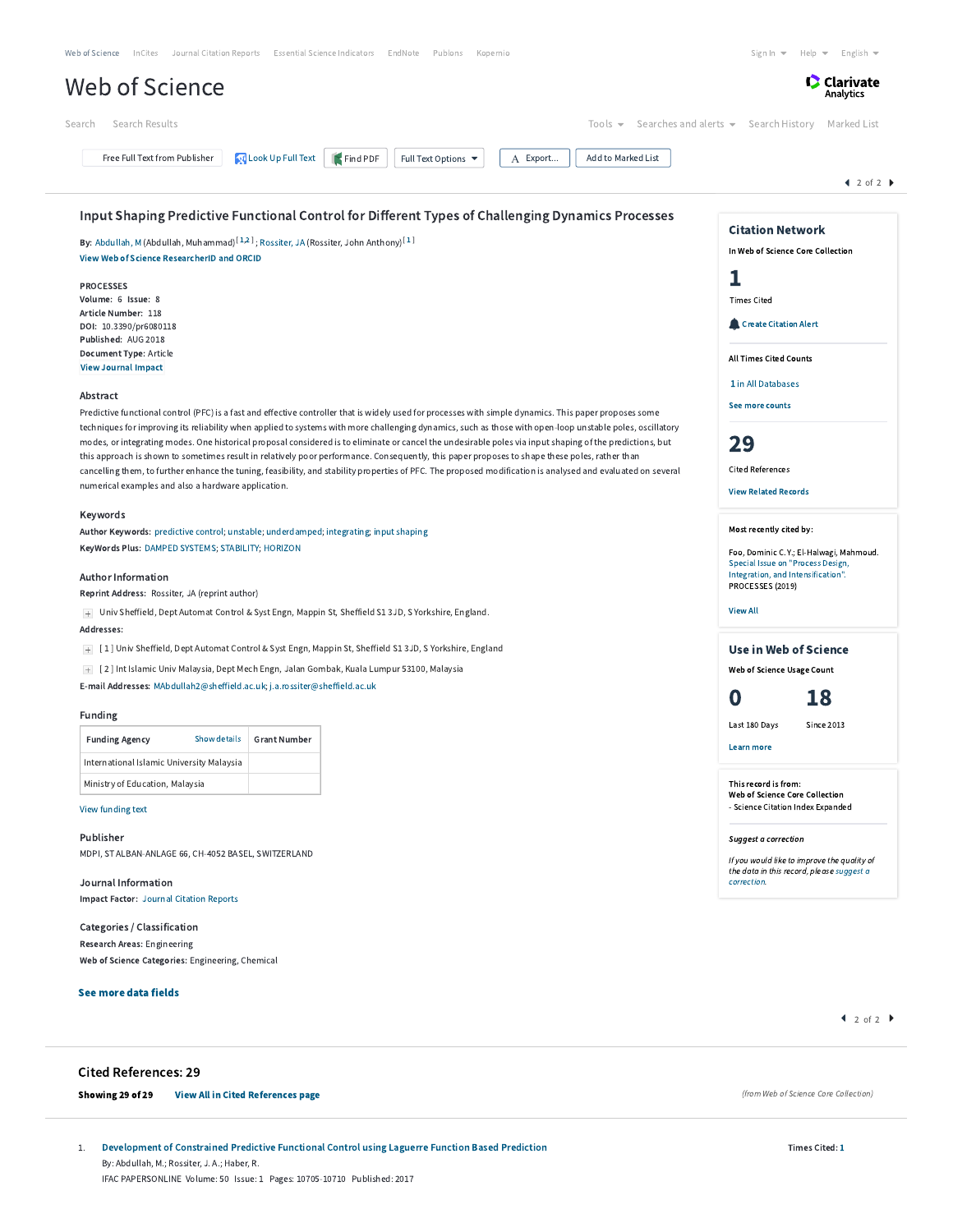|                                                                            |                                                                                                              |                                                                                                                                                                                                                                                                                                                      | Analytics                                                                                |
|----------------------------------------------------------------------------|--------------------------------------------------------------------------------------------------------------|----------------------------------------------------------------------------------------------------------------------------------------------------------------------------------------------------------------------------------------------------------------------------------------------------------------------|------------------------------------------------------------------------------------------|
| Search Results<br>Search                                                   |                                                                                                              | Tools $\blacktriangleright$                                                                                                                                                                                                                                                                                          | Searches and alerts $\bullet$ Search History<br>Marked List                              |
| Free Full Text from Publisher                                              | <b>Look Up Full Text</b><br>Find PDF                                                                         | Add to Marked List<br>Full Text Options ▼<br>A Export                                                                                                                                                                                                                                                                |                                                                                          |
|                                                                            |                                                                                                              |                                                                                                                                                                                                                                                                                                                      | $42$ of 2                                                                                |
|                                                                            |                                                                                                              | Input Shaping Predictive Functional Control for Different Types of Challenging Dynamics Processes                                                                                                                                                                                                                    | <b>Citation Network</b>                                                                  |
| <b>View Web of Science ResearcherID and ORCID</b>                          | By: Abdullah, M (Abdullah, Muhammad) <sup>[1,2]</sup> ; Rossiter, JA (Rossiter, John Anthony) <sup>[1]</sup> |                                                                                                                                                                                                                                                                                                                      | In Web of Science Core Collection                                                        |
|                                                                            |                                                                                                              |                                                                                                                                                                                                                                                                                                                      | ı                                                                                        |
| <b>PROCESSES</b><br>Volume: 6 Issue: 8                                     |                                                                                                              |                                                                                                                                                                                                                                                                                                                      | <b>Times Cited</b>                                                                       |
| Article Number: 118                                                        |                                                                                                              |                                                                                                                                                                                                                                                                                                                      | Create Citation Alert                                                                    |
| DOI: 10.3390/pr6080118<br>Published: AUG 2018                              |                                                                                                              |                                                                                                                                                                                                                                                                                                                      |                                                                                          |
| Document Type: Article<br><b>View Journal Impact</b>                       |                                                                                                              |                                                                                                                                                                                                                                                                                                                      | <b>All Times Cited Counts</b>                                                            |
|                                                                            |                                                                                                              |                                                                                                                                                                                                                                                                                                                      | 1 in All Databases                                                                       |
| Abstract                                                                   |                                                                                                              |                                                                                                                                                                                                                                                                                                                      | See more counts                                                                          |
|                                                                            |                                                                                                              | Predictive functional control (PFC) is a fast and effective controller that is widely used for processes with simple dynamics. This paper proposes some<br>techniques for improving its reliability when applied to systems with more challenging dynamics, such as those with open-loop unstable poles, oscillatory |                                                                                          |
|                                                                            |                                                                                                              | modes, or integrating modes. One historical proposal considered is to eliminate or cancel the undesirable poles via input shaping of the predictions, but                                                                                                                                                            | 29                                                                                       |
|                                                                            |                                                                                                              | this approach is shown to sometimes result in relatively poor performance. Consequently, this paper proposes to shape these poles, rather than<br>cancelling them, to further enhance the tuning, feasibility, and stability properties of PFC. The proposed modification is analysed and evaluated on several       | <b>Cited References</b>                                                                  |
| numerical examples and also a hardware application.                        |                                                                                                              |                                                                                                                                                                                                                                                                                                                      | <b>View Related Records</b>                                                              |
| Keywords                                                                   |                                                                                                              |                                                                                                                                                                                                                                                                                                                      |                                                                                          |
|                                                                            | Author Keywords: predictive control; unstable; underdamped; integrating; input shaping                       |                                                                                                                                                                                                                                                                                                                      | Most recently cited by:                                                                  |
| KeyWords Plus: DAMPED SYSTEMS; STABILITY; HORIZON                          |                                                                                                              |                                                                                                                                                                                                                                                                                                                      | Foo, Dominic C. Y.; El-Halwagi, Mahmoud.<br>Special Issue on "Process Design,            |
| <b>Author Information</b>                                                  |                                                                                                              |                                                                                                                                                                                                                                                                                                                      | Integration, and Intensification".<br>PROCESSES (2019)                                   |
| Reprint Address: Rossiter, JA (reprint author)                             |                                                                                                              |                                                                                                                                                                                                                                                                                                                      |                                                                                          |
| Addresses:                                                                 | + Univ Sheffield, Dept Automat Control & Syst Engn, Mappin St, Sheffield S1 3JD, S Yorkshire, England.       |                                                                                                                                                                                                                                                                                                                      | <b>View All</b>                                                                          |
|                                                                            | + [1] Univ Sheffield, Dept Automat Control & Syst Engn, Mappin St, Sheffield S1 3JD, S Yorkshire, England    |                                                                                                                                                                                                                                                                                                                      | <b>Use in Web of Science</b>                                                             |
|                                                                            | + [2] Int Islamic Univ Malaysia, Dept Mech Engn, Jalan Gombak, Kuala Lumpur 53100, Malaysia                  |                                                                                                                                                                                                                                                                                                                      | Web of Science Usage Count                                                               |
| E-mail Addresses: MAbdullah2@sheffield.ac.uk; j.a.rossiter@sheffield.ac.uk |                                                                                                              |                                                                                                                                                                                                                                                                                                                      | 18                                                                                       |
| Funding                                                                    |                                                                                                              |                                                                                                                                                                                                                                                                                                                      | O                                                                                        |
| Show details<br><b>Funding Agency</b>                                      | <b>Grant Number</b>                                                                                          |                                                                                                                                                                                                                                                                                                                      | Last 180 Days<br><b>Since 2013</b>                                                       |
| International Islamic University Malaysia                                  |                                                                                                              |                                                                                                                                                                                                                                                                                                                      | Learn more                                                                               |
| Ministry of Education, Malaysia                                            |                                                                                                              |                                                                                                                                                                                                                                                                                                                      | This record is from:                                                                     |
| View funding text                                                          |                                                                                                              |                                                                                                                                                                                                                                                                                                                      | Web of Science Core Collection<br>- Science Citation Index Expanded                      |
| Publisher                                                                  |                                                                                                              |                                                                                                                                                                                                                                                                                                                      |                                                                                          |
| MDPI, ST ALBAN-ANLAGE 66, CH-4052 BASEL, SWITZERLAND                       |                                                                                                              |                                                                                                                                                                                                                                                                                                                      | Suggest a correction                                                                     |
|                                                                            |                                                                                                              |                                                                                                                                                                                                                                                                                                                      | If you would like to improve the quality of<br>the data in this record, please suggest a |
| Journal Information<br>Impact Factor: Journal Citation Reports             |                                                                                                              |                                                                                                                                                                                                                                                                                                                      | correction.                                                                              |
|                                                                            |                                                                                                              |                                                                                                                                                                                                                                                                                                                      |                                                                                          |
| Categories / Classification<br>Research Areas: Engineering                 |                                                                                                              |                                                                                                                                                                                                                                                                                                                      |                                                                                          |
| Web of Science Categories: Engineering, Chemical                           |                                                                                                              |                                                                                                                                                                                                                                                                                                                      |                                                                                          |
| See more data fields                                                       |                                                                                                              |                                                                                                                                                                                                                                                                                                                      |                                                                                          |
|                                                                            |                                                                                                              |                                                                                                                                                                                                                                                                                                                      | $\arrow$ 2 of 2 $\rightarrow$                                                            |
|                                                                            |                                                                                                              |                                                                                                                                                                                                                                                                                                                      |                                                                                          |
|                                                                            |                                                                                                              |                                                                                                                                                                                                                                                                                                                      |                                                                                          |
| <b>Cited References: 29</b>                                                |                                                                                                              |                                                                                                                                                                                                                                                                                                                      |                                                                                          |

it of Constrained Predictive Functional Control using Laguerre Function Based P By: Abdullah, M.; Rossiter, J. A.; Haber, R. IFAC PAPERSONLINE Volume: 50 Issue: 1 Pages: 10705-10710 Published: 2017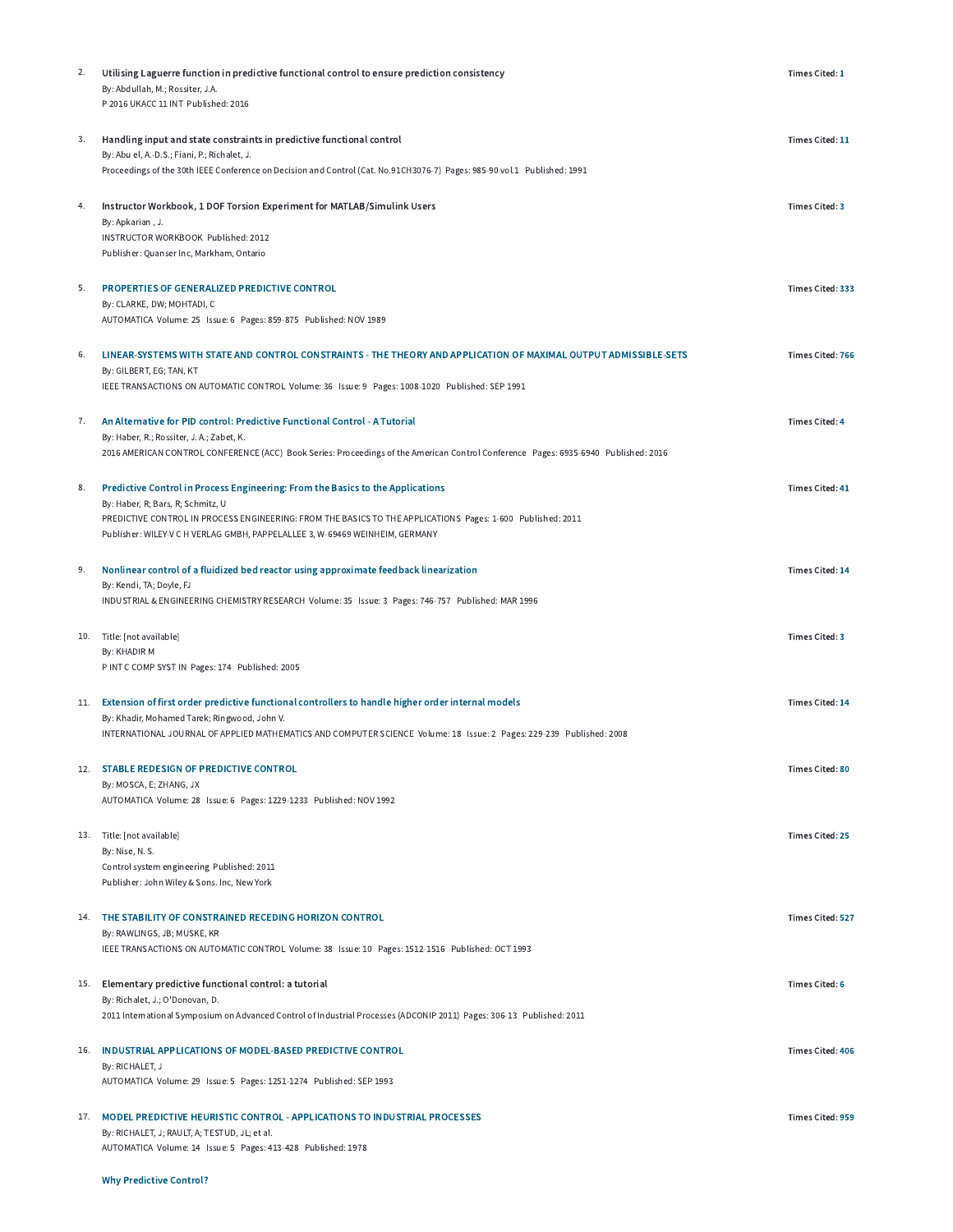| 2.  | Utilising Laguerre function in predictive functional control to ensure prediction consistency<br>By: Abdullah, M.; Rossiter, J.A.<br>P 2016 UKACC 11 INT Published: 2016                                                                                                                                           | Times Cited: 1          |
|-----|--------------------------------------------------------------------------------------------------------------------------------------------------------------------------------------------------------------------------------------------------------------------------------------------------------------------|-------------------------|
| 3.  | Handling input and state constraints in predictive functional control<br>By: Abu el, A.-D.S.; Fiani, P.; Richalet, J.<br>Proceedings of the 30th IEEE Conference on Decision and Control (Cat. No.91CH3076-7) Pages: 985-90 vol.1 Published: 1991                                                                  | Times Cited: 11         |
| 4.  | Instructor Workbook, 1 DOF Torsion Experiment for MATLAB/Simulink Users<br>By: Apkarian, J.<br>INSTRUCTOR WORKBOOK Published: 2012<br>Publisher: Quanser Inc, Markham, Ontario                                                                                                                                     | <b>Times Cited: 3</b>   |
| 5.  | PROPERTIES OF GENERALIZED PREDICTIVE CONTROL<br>By: CLARKE, DW; MOHTADI, C<br>AUTOMATICA Volume: 25 Issue: 6 Pages: 859-875 Published: NOV 1989                                                                                                                                                                    | Times Cited: 333        |
| 6.  | LINEAR-SYSTEMS WITH STATE AND CONTROL CONSTRAINTS - THE THEORY AND APPLICATION OF MAXIMAL OUTPUT ADMISSIBLE-SETS<br>By: GILBERT, EG; TAN, KT<br>IEEE TRANSACTIONS ON AUTOMATIC CONTROL Volume: 36 Issue: 9 Pages: 1008-1020 Published: SEP 1991                                                                    | <b>Times Cited: 766</b> |
| 7.  | An Alternative for PID control: Predictive Functional Control - A Tutorial<br>By: Haber, R.; Rossiter, J. A.; Zabet, K.<br>2016 AMERICAN CONTROL CONFERENCE (ACC) Book Series: Proceedings of the American Control Conference Pages: 6935-6940 Published: 2016                                                     | <b>Times Cited: 4</b>   |
| 8.  | Predictive Control in Process Engineering: From the Basics to the Applications<br>By: Haber, R; Bars, R; Schmitz, U<br>PREDICTIVE CONTROL IN PROCESS ENGINEERING: FROM THE BASICS TO THE APPLICATIONS Pages: 1-600 Published: 2011<br>Publisher: WILEY-V C H VERLAG GMBH, PAPPELALLEE 3, W-69469 WEINHEIM, GERMANY | <b>Times Cited: 41</b>  |
| 9.  | Nonlinear control of a fluidized bed reactor using approximate feedback linearization<br>By: Kendi, TA; Doyle, FJ<br>INDUSTRIAL & ENGINEERING CHEMISTRY RESEARCH Volume: 35 Issue: 3 Pages: 746-757 Published: MAR 1996                                                                                            | Times Cited: 14         |
|     | 10. Title: [not available]<br>By: KHADIR M<br>P INT C COMP SYST IN Pages: 174 Published: 2005                                                                                                                                                                                                                      | <b>Times Cited: 3</b>   |
| 11. | Extension of first order predictive functional controllers to handle higher order internal models<br>By: Khadir, Mohamed Tarek; Ringwood, John V.<br>INTERNATIONAL JOURNAL OF APPLIED MATHEMATICS AND COMPUTER SCIENCE Volume: 18 Issue: 2 Pages: 229-239 Published: 2008                                          | Times Cited: 14         |
|     | 12. STABLE REDESIGN OF PREDICTIVE CONTROL<br>By: MOSCA, E; ZHANG, JX<br>AUTOMATICA Volume: 28 Issue: 6 Pages: 1229-1233 Published: NOV 1992                                                                                                                                                                        | <b>Times Cited: 80</b>  |
|     | 13. Title: [not available]<br>By: Nise, N. S.<br>Control system engineering Published: 2011<br>Publisher: John Wiley & Sons. Inc, New York                                                                                                                                                                         | <b>Times Cited: 25</b>  |
|     | 14. THE STABILITY OF CONSTRAINED RECEDING HORIZON CONTROL<br>By: RAWLINGS, JB; MUSKE, KR<br>IEEE TRANSACTIONS ON AUTOMATIC CONTROL Volume: 38 Issue: 10 Pages: 1512-1516 Published: OCT 1993                                                                                                                       | <b>Times Cited: 527</b> |
| 15. | Elementary predictive functional control: a tutorial<br>By: Richalet, J.; O'Donovan, D.<br>2011 International Symposium on Advanced Control of Industrial Processes (ADCONIP 2011) Pages: 306-13 Published: 2011                                                                                                   | <b>Times Cited: 6</b>   |
|     | 16. INDUSTRIAL APPLICATIONS OF MODEL-BASED PREDICTIVE CONTROL<br>By: RICHALET, J<br>AUTOMATICA Volume: 29 Issue: 5 Pages: 1251-1274 Published: SEP 1993                                                                                                                                                            | <b>Times Cited: 406</b> |
|     | 17. MODEL PREDICTIVE HEURISTIC CONTROL - APPLICATIONS TO INDUSTRIAL PROCESSES<br>By: RICHALET, J; RAULT, A; TESTUD, JL; et al.<br>AUTOMATICA Volume: 14 Issue: 5 Pages: 413-428 Published: 1978                                                                                                                    | Times Cited: 959        |